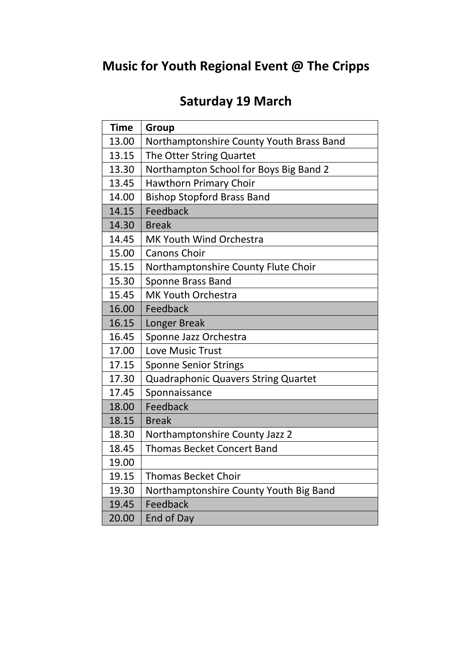## **Music for Youth Regional Event @ The Cripps**

## **Saturday 19 March**

| <b>Time</b> | Group                                      |
|-------------|--------------------------------------------|
| 13.00       | Northamptonshire County Youth Brass Band   |
| 13.15       | The Otter String Quartet                   |
| 13.30       | Northampton School for Boys Big Band 2     |
| 13.45       | <b>Hawthorn Primary Choir</b>              |
| 14.00       | <b>Bishop Stopford Brass Band</b>          |
| 14.15       | Feedback                                   |
| 14.30       | <b>Break</b>                               |
| 14.45       | MK Youth Wind Orchestra                    |
| 15.00       | <b>Canons Choir</b>                        |
| 15.15       | Northamptonshire County Flute Choir        |
| 15.30       | <b>Sponne Brass Band</b>                   |
| 15.45       | <b>MK Youth Orchestra</b>                  |
| 16.00       | Feedback                                   |
| 16.15       | Longer Break                               |
| 16.45       | Sponne Jazz Orchestra                      |
| 17.00       | Love Music Trust                           |
| 17.15       | <b>Sponne Senior Strings</b>               |
| 17.30       | <b>Quadraphonic Quavers String Quartet</b> |
| 17.45       | Sponnaissance                              |
| 18.00       | Feedback                                   |
| 18.15       | <b>Break</b>                               |
| 18.30       | Northamptonshire County Jazz 2             |
| 18.45       | <b>Thomas Becket Concert Band</b>          |
| 19.00       |                                            |
| 19.15       | <b>Thomas Becket Choir</b>                 |
| 19.30       | Northamptonshire County Youth Big Band     |
| 19.45       | Feedback                                   |
| 20.00       | <b>End of Day</b>                          |